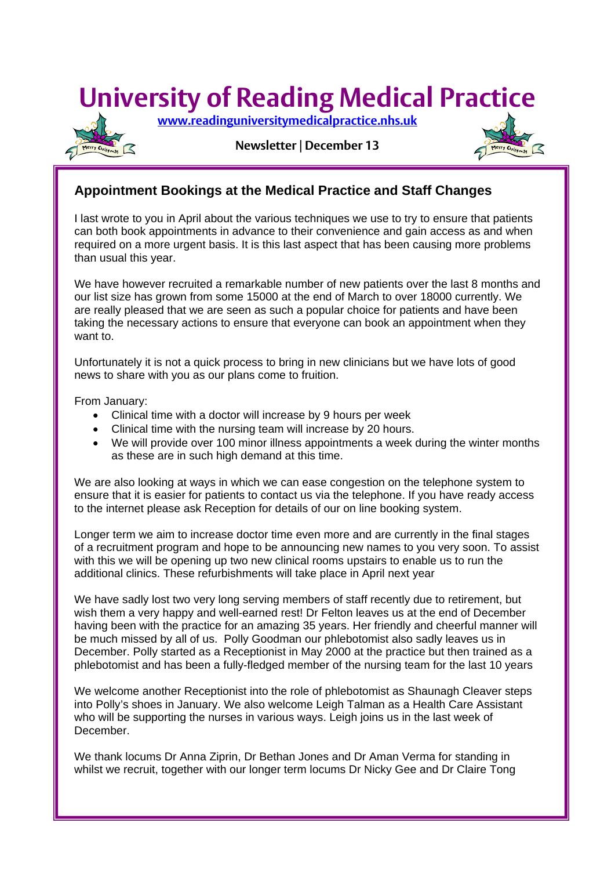# **University of Reading Medical Practice**

 **[www.readinguniversitymedicalpractice.nhs.uk](http://www.readinguniversitymedicalpractice.nhs.uk/)**



**Newsletter | December 13**

## **Appointment Bookings at the Medical Practice and Staff Changes**

I last wrote to you in April about the various techniques we use to try to ensure that patients can both book appointments in advance to their convenience and gain access as and when required on a more urgent basis. It is this last aspect that has been causing more problems than usual this year.

We have however recruited a remarkable number of new patients over the last 8 months and our list size has grown from some 15000 at the end of March to over 18000 currently. We are really pleased that we are seen as such a popular choice for patients and have been taking the necessary actions to ensure that everyone can book an appointment when they want to.

Unfortunately it is not a quick process to bring in new clinicians but we have lots of good news to share with you as our plans come to fruition.

From January:

Ξ

- Clinical time with a doctor will increase by 9 hours per week
- Clinical time with the nursing team will increase by 20 hours.
- We will provide over 100 minor illness appointments a week during the winter months as these are in such high demand at this time.

We are also looking at ways in which we can ease congestion on the telephone system to ensure that it is easier for patients to contact us via the telephone. If you have ready access to the internet please ask Reception for details of our on line booking system.

Longer term we aim to increase doctor time even more and are currently in the final stages of a recruitment program and hope to be announcing new names to you very soon. To assist with this we will be opening up two new clinical rooms upstairs to enable us to run the additional clinics. These refurbishments will take place in April next year

We have sadly lost two very long serving members of staff recently due to retirement, but wish them a very happy and well-earned rest! Dr Felton leaves us at the end of December having been with the practice for an amazing 35 years. Her friendly and cheerful manner will be much missed by all of us. Polly Goodman our phlebotomist also sadly leaves us in December. Polly started as a Receptionist in May 2000 at the practice but then trained as a phlebotomist and has been a fully-fledged member of the nursing team for the last 10 years

We welcome another Receptionist into the role of phlebotomist as Shaunagh Cleaver steps into Polly's shoes in January. We also welcome Leigh Talman as a Health Care Assistant who will be supporting the nurses in various ways. Leigh joins us in the last week of December.

We thank locums Dr Anna Ziprin, Dr Bethan Jones and Dr Aman Verma for standing in whilst we recruit, together with our longer term locums Dr Nicky Gee and Dr Claire Tong